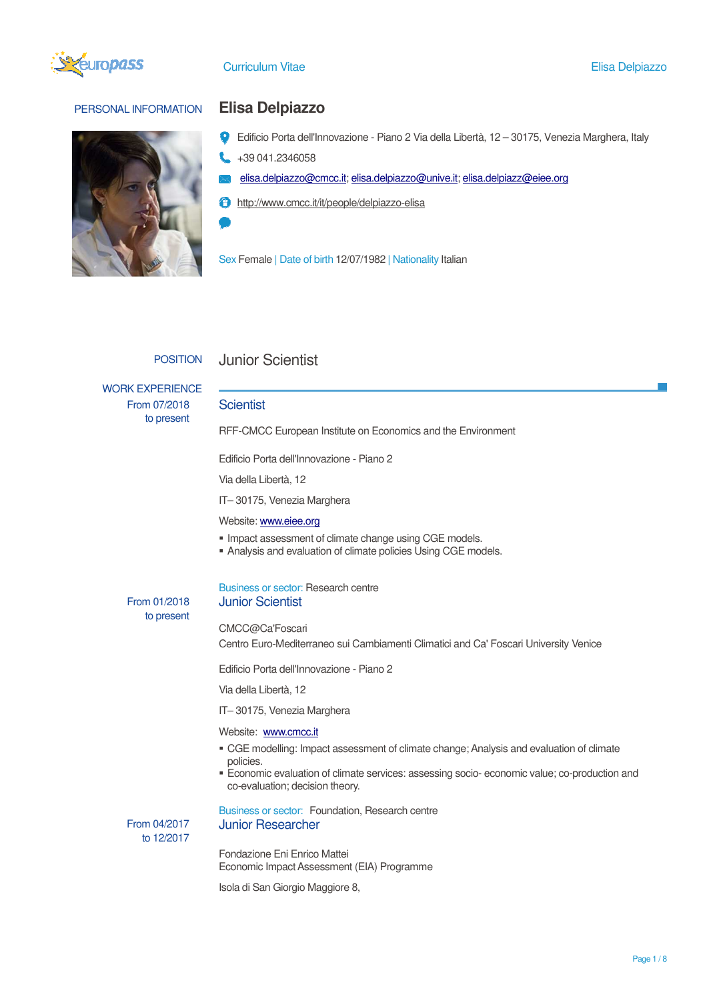

# PERSONAL INFORMATION **Elisa Delpiazzo**



- Edificio Porta dell'Innovazione Piano 2 Via della Libertà, 12 30175, Venezia Marghera, Italy
- +39 041.2346058
- elisa.delpiazzo@cmcc.it; elisa.delpiazzo@unive.it; elisa.delpiazz@eiee.org
- **f** http://www.cmcc.it/it/people/delpiazzo-elisa

Sex Female | Date of birth 12/07/1982 | Nationality Italian

# POSITION Junior Scientist

WORK EXPERIENCE From 07/2018 to present

## **Scientist**

RFF-CMCC European Institute on Economics and the Environment

Edificio Porta dell'Innovazione - Piano 2

Via della Libertà, 12

IT– 30175, Venezia Marghera

#### Website: www.eiee.org

- **Impact assessment of climate change using CGE models.**
- Analysis and evaluation of climate policies Using CGE models.

# From 01/2018 to present

### Business or sector: Research centre Junior Scientist

### CMCC@Ca'Foscari

Centro Euro-Mediterraneo sui Cambiamenti Climatici and Ca' Foscari University Venice

Edificio Porta dell'Innovazione - Piano 2

Via della Libertà, 12

IT– 30175, Venezia Marghera

#### Website: www.cmcc.it

- CGE modelling: Impact assessment of climate change; Analysis and evaluation of climate policies.
- Economic evaluation of climate services: assessing socio- economic value; co-production and co-evaluation; decision theory.

 From 04/2017 to 12/2017

Business or sector: Foundation, Research centre Junior Researcher

Fondazione Eni Enrico Mattei Economic Impact Assessment (EIA) Programme

Isola di San Giorgio Maggiore 8,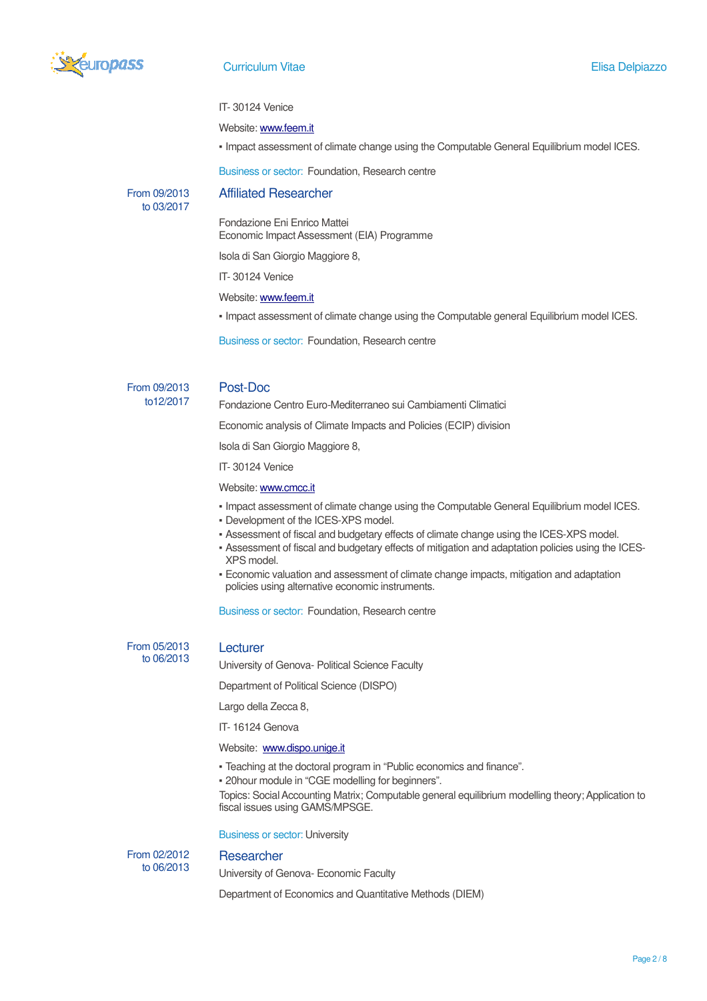

### IT- 30124 Venice

## Website: www.feem.it

▪ Impact assessment of climate change using the Computable General Equilibrium model ICES.

Business or sector: Foundation, Research centre

## From 09/2013 to 03/2017

Affiliated Researcher

Fondazione Eni Enrico Mattei Economic Impact Assessment (EIA) Programme

Isola di San Giorgio Maggiore 8,

IT- 30124 Venice

Website: www.feem.it

▪ Impact assessment of climate change using the Computable general Equilibrium model ICES.

Business or sector: Foundation, Research centre

From 09/2013 to12/2017

# Post-Doc

Fondazione Centro Euro-Mediterraneo sui Cambiamenti Climatici

Economic analysis of Climate Impacts and Policies (ECIP) division

Isola di San Giorgio Maggiore 8,

IT- 30124 Venice

# Website: www.cmcc.it

- Impact assessment of climate change using the Computable General Equilibrium model ICES.
- Development of the ICES-XPS model.
- Assessment of fiscal and budgetary effects of climate change using the ICES-XPS model.
- Assessment of fiscal and budgetary effects of mitigation and adaptation policies using the ICES-XPS model.
- Economic valuation and assessment of climate change impacts, mitigation and adaptation policies using alternative economic instruments.

Business or sector: Foundation, Research centre

 From 05/2013 to 06/2013

## Lecturer

University of Genova- Political Science Faculty

Department of Political Science (DISPO)

Largo della Zecca 8,

IT- 16124 Genova

# Website: www.dispo.unige.it

- Teaching at the doctoral program in "Public economics and finance".
- 20hour module in "CGE modelling for beginners".

Topics: Social Accounting Matrix; Computable general equilibrium modelling theory; Application to fiscal issues using GAMS/MPSGE.

Business or sector: University

From 02/2012 to 06/2013

**Researcher** 

University of Genova- Economic Faculty

Department of Economics and Quantitative Methods (DIEM)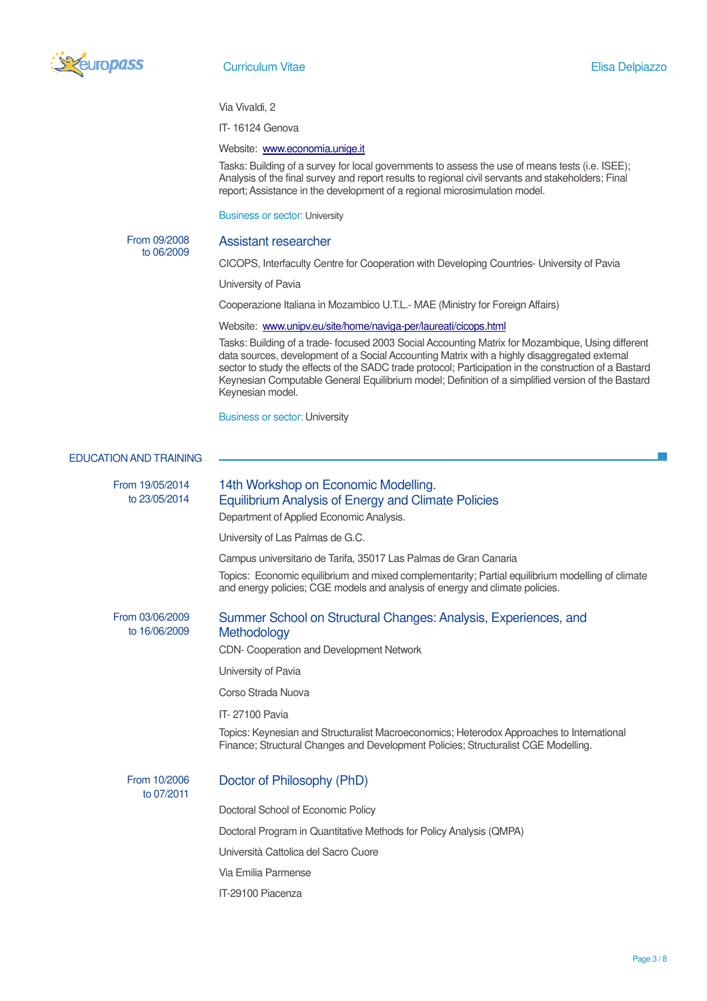

#### Via Vivaldi, 2

IT- 16124 Genova

## Website: www.economia.unige.it

Tasks: Building of a survey for local governments to assess the use of means tests (i.e. ISEE); Analysis of the final survey and report results to regional civil servants and stakeholders; Final report; Assistance in the development of a regional microsimulation model.

Business or sector: University

 From 09/2008 to 06/2009

## Assistant researcher

CICOPS, Interfaculty Centre for Cooperation with Developing Countries- University of Pavia

University of Pavia

Cooperazione Italiana in Mozambico U.T.L.- MAE (Ministry for Foreign Affairs)

### Website: www.unipv.eu/site/home/naviga-per/laureati/cicops.html

Tasks: Building of a trade- focused 2003 Social Accounting Matrix for Mozambique, Using different data sources, development of a Social Accounting Matrix with a highly disaggregated external sector to study the effects of the SADC trade protocol; Participation in the construction of a Bastard Keynesian Computable General Equilibrium model; Definition of a simplified version of the Bastard Keynesian model.

Business or sector: University

#### EDUCATION AND TRAINING

From 19/05/2014 to 23/05/2014 14th Workshop on Economic Modelling. Equilibrium Analysis of Energy and Climate Policies Department of Applied Economic Analysis. University of Las Palmas de G.C. Campus universitario de Tarifa, 35017 Las Palmas de Gran Canaria Topics: Economic equilibrium and mixed complementarity; Partial equilibrium modelling of climate and energy policies; CGE models and analysis of energy and climate policies. From 03/06/2009 to 16/06/2009 Summer School on Structural Changes: Analysis, Experiences, and **Methodology** CDN- Cooperation and Development Network University of Pavia Corso Strada Nuova IT- 27100 Pavia Topics: Keynesian and Structuralist Macroeconomics; Heterodox Approaches to International Finance; Structural Changes and Development Policies; Structuralist CGE Modelling. From 10/2006

to 07/2011

## Doctor of Philosophy (PhD)

Doctoral School of Economic Policy

Doctoral Program in Quantitative Methods for Policy Analysis (QMPA)

Università Cattolica del Sacro Cuore

Via Emilia Parmense

IT-29100 Piacenza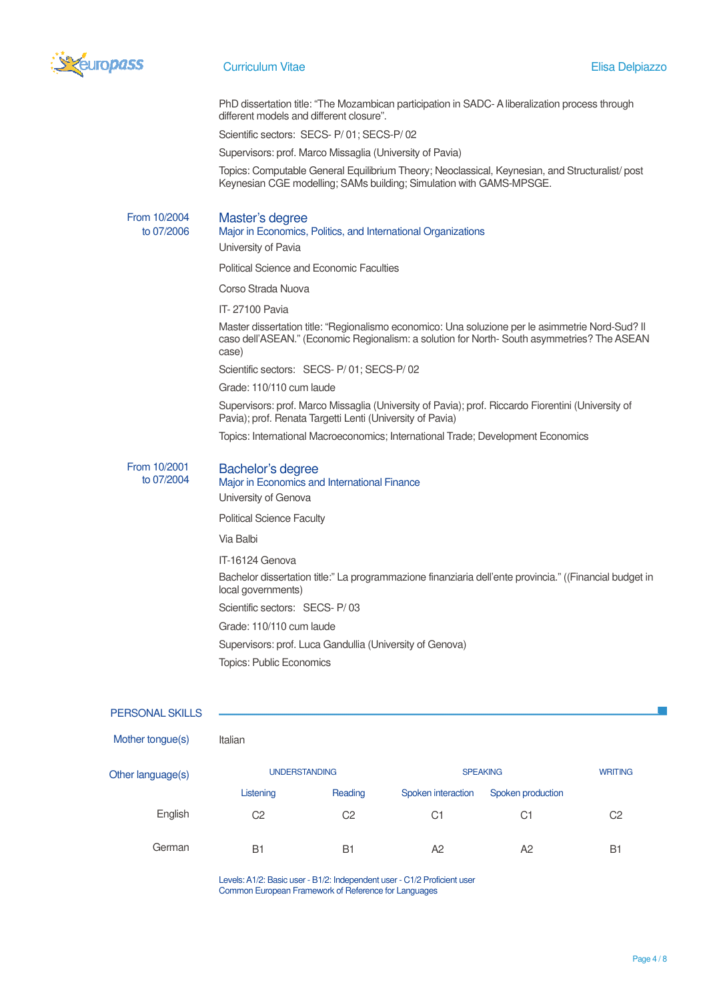

PhD dissertation title: "The Mozambican participation in SADC- A liberalization process through different models and different closure".

Scientific sectors: SECS- P/ 01; SECS-P/ 02

Supervisors: prof. Marco Missaglia (University of Pavia)

Topics: Computable General Equilibrium Theory; Neoclassical, Keynesian, and Structuralist/ post Keynesian CGE modelling; SAMs building; Simulation with GAMS-MPSGE.

From 10/2004 to 07/2006

## Master's degree

Major in Economics, Politics, and International Organizations

University of Pavia

Political Science and Economic Faculties

Corso Strada Nuova

IT- 27100 Pavia

Master dissertation title: "Regionalismo economico: Una soluzione per le asimmetrie Nord-Sud? Il caso dell'ASEAN." (Economic Regionalism: a solution for North- South asymmetries? The ASEAN case)

Scientific sectors: SECS- P/ 01; SECS-P/ 02

Grade: 110/110 cum laude

Supervisors: prof. Marco Missaglia (University of Pavia); prof. Riccardo Fiorentini (University of Pavia); prof. Renata Targetti Lenti (University of Pavia)

Topics: International Macroeconomics; International Trade; Development Economics

#### From 10/2001 Bachelor's degree

to 07/2004 Major in Economics and International Finance University of Genova Political Science Faculty Via Balbi IT-16124 Genova Bachelor dissertation title:" La programmazione finanziaria dell'ente provincia." ((Financial budget in local governments) Scientific sectors: SECS- P/ 03 Grade: 110/110 cum laude Supervisors: prof. Luca Gandullia (University of Genova) Topics: Public Economics

### PERSONAL SKILLS

| Mother tongue(s) | Italian |
|------------------|---------|
|------------------|---------|

| Other language(s) | <b>UNDERSTANDING</b> |            | <b>SPEAKING</b>    |                   | <b>WRITING</b> |
|-------------------|----------------------|------------|--------------------|-------------------|----------------|
|                   | Listening            | Reading    | Spoken interaction | Spoken production |                |
| English           | C2                   | C2         | C1                 | C <sub>1</sub>    | C2             |
| German            | <b>B1</b>            | <b>B</b> 1 | A <sub>2</sub>     | A <sub>2</sub>    | <b>B1</b>      |

Levels: A1/2: Basic user - B1/2: Independent user - C1/2 Proficient user Common European Framework of Reference for Languages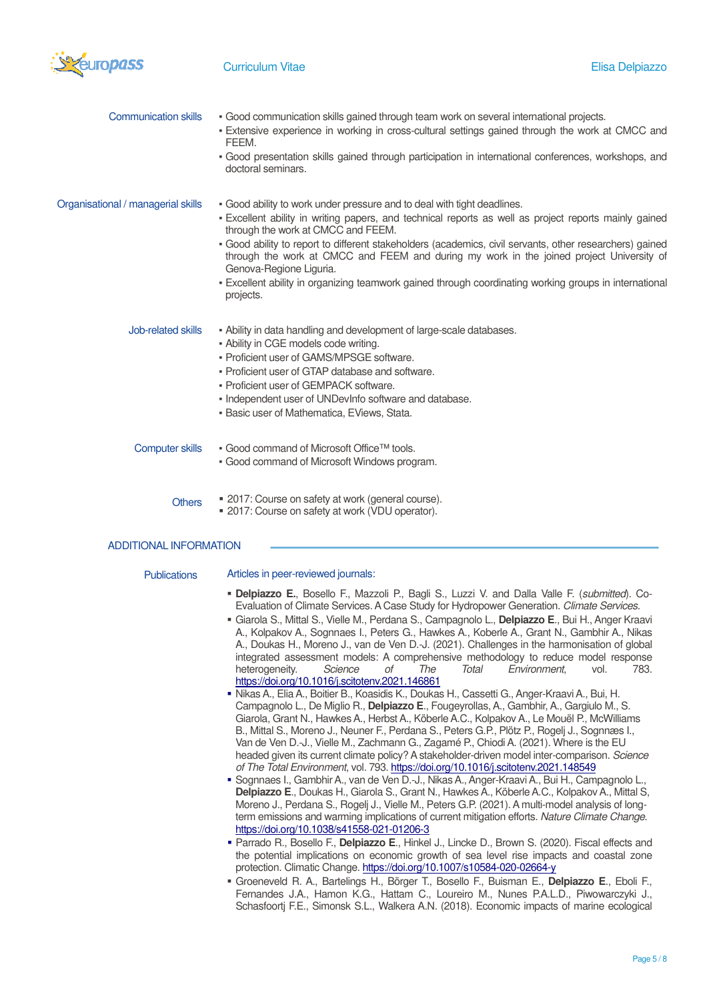

| <b>Communication skills</b>        | - Good communication skills gained through team work on several international projects.<br>. Extensive experience in working in cross-cultural settings gained through the work at CMCC and<br>FEEM.<br>• Good presentation skills gained through participation in international conferences, workshops, and                                                                                                                   |
|------------------------------------|--------------------------------------------------------------------------------------------------------------------------------------------------------------------------------------------------------------------------------------------------------------------------------------------------------------------------------------------------------------------------------------------------------------------------------|
|                                    | doctoral seminars.                                                                                                                                                                                                                                                                                                                                                                                                             |
| Organisational / managerial skills | . Good ability to work under pressure and to deal with tight deadlines.<br>- Excellent ability in writing papers, and technical reports as well as project reports mainly gained<br>through the work at CMCC and FEEM.<br>- Good ability to report to different stakeholders (academics, civil servants, other researchers) gained<br>through the work at CMCC and FEEM and during my work in the joined project University of |
|                                    | Genova-Regione Liguria.<br>• Excellent ability in organizing teamwork gained through coordinating working groups in international<br>projects.                                                                                                                                                                                                                                                                                 |
| Job-related skills                 | - Ability in data handling and development of large-scale databases.<br>• Ability in CGE models code writing.<br>• Proficient user of GAMS/MPSGE software.<br>• Proficient user of GTAP database and software.<br>• Proficient user of GEMPACK software.<br>. Independent user of UNDevInfo software and database.<br>. Basic user of Mathematica, EViews, Stata.                                                              |
| <b>Computer skills</b>             | ■ Good command of Microsoft Office™ tools.<br>• Good command of Microsoft Windows program.                                                                                                                                                                                                                                                                                                                                     |
| <b>Others</b>                      | ■ 2017: Course on safety at work (general course).<br>■ 2017: Course on safety at work (VDU operator).                                                                                                                                                                                                                                                                                                                         |

### ADDITIONAL INFORMATION

#### Publications Articles in peer-reviewed journals:

- **Delpiazzo E.**, Bosello F., Mazzoli P., Bagli S., Luzzi V. and Dalla Valle F. (*submitted*). Co-Evaluation of Climate Services. A Case Study for Hydropower Generation. *Climate Services*.
- Giarola S., Mittal S., Vielle M., Perdana S., Campagnolo L., **Delpiazzo E**., Bui H., Anger Kraavi A., Kolpakov A., Sognnaes I., Peters G., Hawkes A., Koberle A., Grant N., Gambhir A., Nikas A., Doukas H., Moreno J., van de Ven D.-J. (2021). Challenges in the harmonisation of global integrated assessment models: A comprehensive methodology to reduce model response<br>heterogeneity. Science of The Total Environment. vol. 783. heterogeneity. *Science of The Total Environment*, vol. 783. https://doi.org/10.1016/j.scitotenv.2021.146861
- Nikas A., Elia A., Boitier B., Koasidis K., Doukas H., Cassetti G., Anger-Kraavi A., Bui, H. Campagnolo L., De Miglio R., **Delpiazzo E**., Fougeyrollas, A., Gambhir, A., Gargiulo M., S. Giarola, Grant N., Hawkes A., Herbst A., Köberle A.C., Kolpakov A., Le Mouël P., McWilliams B., Mittal S., Moreno J., Neuner F., Perdana S., Peters G.P., Plötz P., Rogelj J., Sognnæs I., Van de Ven D.-J., Vielle M., Zachmann G., Zagamé P., Chiodi A. (2021). Where is the EU headed given its current climate policy? A stakeholder-driven model inter-comparison. *Science of The Total Environment*, vol. 793. https://doi.org/10.1016/j.scitotenv.2021.148549
- Sognnaes I., Gambhir A., van de Ven D.-J., Nikas A., Anger-Kraavi A., Bui H., Campagnolo L., **Delpiazzo E**., Doukas H., Giarola S., Grant N., Hawkes A., Köberle A.C., Kolpakov A., Mittal S, Moreno J., Perdana S., Rogelj J., Vielle M., Peters G.P. (2021). A multi-model analysis of longterm emissions and warming implications of current mitigation efforts. *Nature Climate Change*. https://doi.org/10.1038/s41558-021-01206-3
- Parrado R., Bosello F., **Delpiazzo E**., Hinkel J., Lincke D., Brown S. (2020). Fiscal effects and the potential implications on economic growth of sea level rise impacts and coastal zone protection. Climatic Change. https://doi.org/10.1007/s10584-020-02664-y
- Groeneveld R. A., Bartelings H., Börger T., Bosello F., Buisman E., **Delpiazzo E**., Eboli F., Fernandes J.A., Hamon K.G., Hattam C., Loureiro M., Nunes P.A.L.D., Piwowarczyki J., Schasfoortj F.E., Simonsk S.L., Walkera A.N. (2018). Economic impacts of marine ecological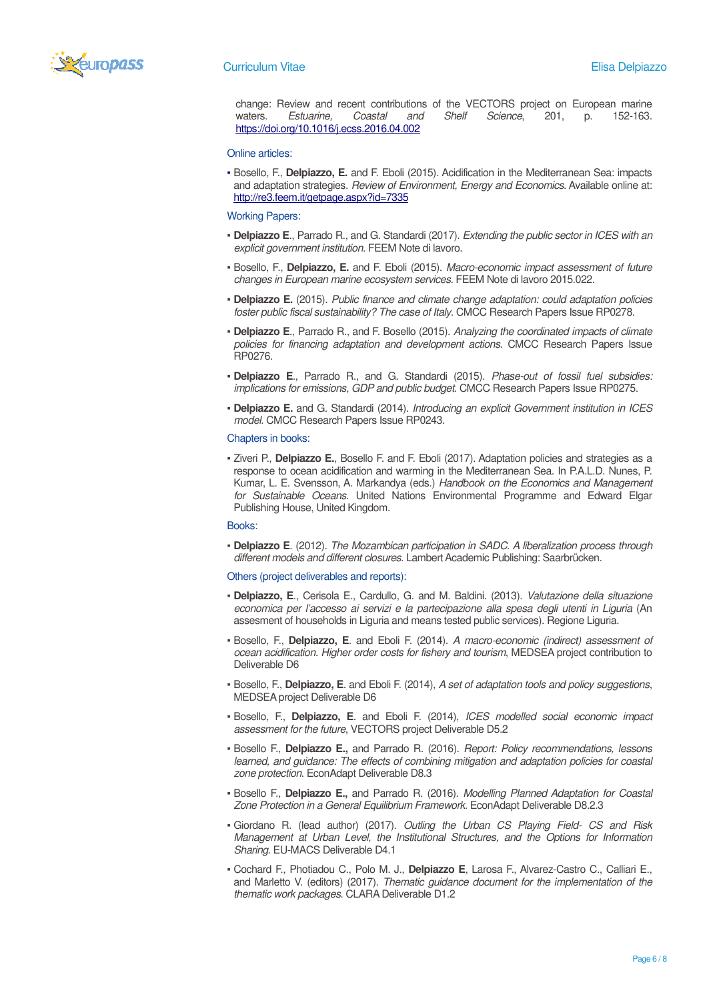

change: Review and recent contributions of the VECTORS project on European marine waters. *Estuarine, Coastal and Shelf Science*, 201, p. 152-163. https://doi.org/10.1016/j.ecss.2016.04.002

#### Online articles:

▪ Bosello, F., **Delpiazzo, E.** and F. Eboli (2015). Acidification in the Mediterranean Sea: impacts and adaptation strategies. *Review of Environment, Energy and Economics*. Available online at: http://re3.feem.it/getpage.aspx?id=7335

#### Working Papers:

- **Delpiazzo E**., Parrado R., and G. Standardi (2017). *Extending the public sector in ICES with an explicit government institution*. FEEM Note di lavoro.
- Bosello, F., **Delpiazzo, E.** and F. Eboli (2015). *Macro-economic impact assessment of future changes in European marine ecosystem services*. FEEM Note di lavoro 2015.022.
- **Delpiazzo E.** (2015). *Public finance and climate change adaptation: could adaptation policies foster public fiscal sustainability? The case of Italy*. CMCC Research Papers Issue RP0278.
- **Delpiazzo E**., Parrado R., and F. Bosello (2015). *Analyzing the coordinated impacts of climate policies for financing adaptation and development actions*. CMCC Research Papers Issue RP0276.
- **Delpiazzo E**., Parrado R., and G. Standardi (2015). *Phase-out of fossil fuel subsidies: implications for emissions, GDP and public budget*. CMCC Research Papers Issue RP0275.
- **Delpiazzo E.** and G. Standardi (2014). *Introducing an explicit Government institution in ICES model.* CMCC Research Papers Issue RP0243.

#### Chapters in books:

▪ Ziveri P., **Delpiazzo E.**, Bosello F. and F. Eboli (2017). Adaptation policies and strategies as a response to ocean acidification and warming in the Mediterranean Sea. In P.A.L.D. Nunes, P. Kumar, L. E. Svensson, A. Markandya (eds.) *Handbook on the Economics and Management for Sustainable Oceans*. United Nations Environmental Programme and Edward Elgar Publishing House, United Kingdom.

#### Books:

▪ **Delpiazzo E**. (2012). *The Mozambican participation in SADC. A liberalization process through different models and different closures*. Lambert Academic Publishing: Saarbrücken.

#### Others (project deliverables and reports):

- **Delpiazzo, E**., Cerisola E., Cardullo, G. and M. Baldini. (2013). *Valutazione della situazione economica per l'accesso ai servizi e la partecipazione alla spesa degli utenti in Liguria* (An assesment of households in Liguria and means tested public services). Regione Liguria.
- Bosello, F., **Delpiazzo, E**. and Eboli F. (2014). *A macro-economic (indirect) assessment of ocean acidification. Higher order costs for fishery and tourism*, MEDSEA project contribution to Deliverable D6
- Bosello, F., **Delpiazzo, E**. and Eboli F. (2014), *A set of adaptation tools and policy suggestions*, MEDSEA project Deliverable D6
- Bosello, F., **Delpiazzo, E**. and Eboli F. (2014), *ICES modelled social economic impact assessment for the future*, VECTORS project Deliverable D5.2
- Bosello F., **Delpiazzo E.,** and Parrado R. (2016). *Report: Policy recommendations, lessons learned, and guidance: The effects of combining mitigation and adaptation policies for coastal zone protection*. EconAdapt Deliverable D8.3
- Bosello F., **Delpiazzo E.,** and Parrado R. (2016). *Modelling Planned Adaptation for Coastal Zone Protection in a General Equilibrium Framework*. EconAdapt Deliverable D8.2.3
- Giordano R. (lead author) (2017). *Outling the Urban CS Playing Field- CS and Risk Management at Urban Level, the Institutional Structures, and the Options for Information Sharing*. EU-MACS Deliverable D4.1
- Cochard F., Photiadou C., Polo M. J., **Delpiazzo E**, Larosa F., Alvarez-Castro C., Calliari E., and Marletto V. (editors) (2017). *Thematic guidance document for the implementation of the thematic work packages*. CLARA Deliverable D1.2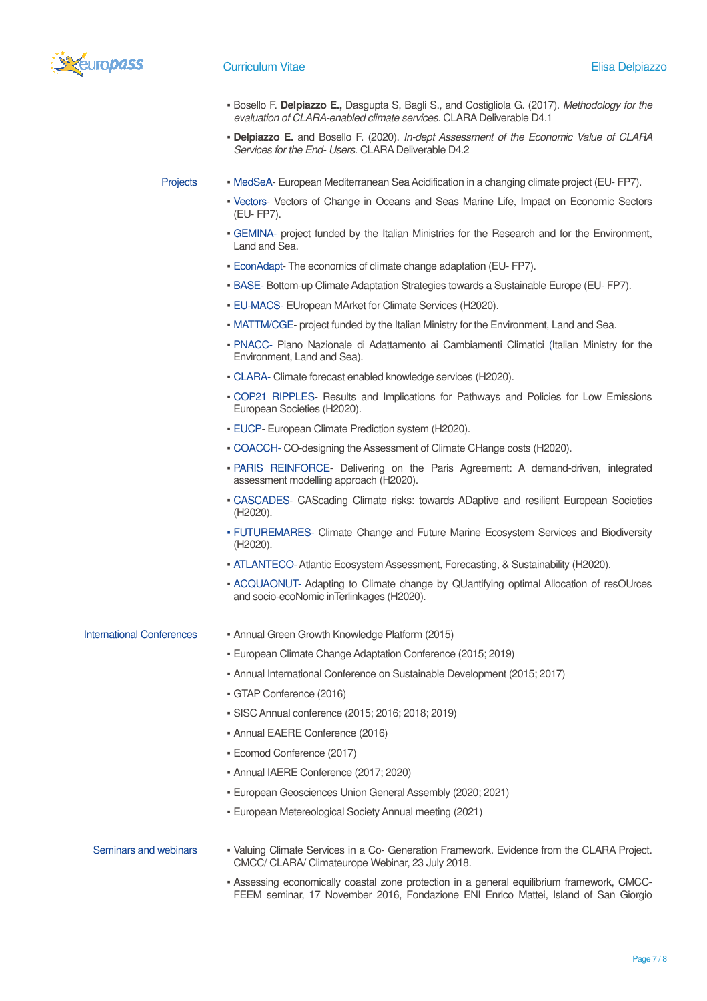

- Bosello F. **Delpiazzo E.,** Dasgupta S, Bagli S., and Costigliola G. (2017). *Methodology for the evaluation of CLARA-enabled climate services*. CLARA Deliverable D4.1
- **Delpiazzo E.** and Bosello F. (2020). *In-dept Assessment of the Economic Value of CLARA Services for the End- Users*. CLARA Deliverable D4.2

- Projects MedSeA- European Mediterranean Sea Acidification in a changing climate project (EU- FP7).
	- Vectors- Vectors of Change in Oceans and Seas Marine Life, Impact on Economic Sectors (EU- FP7).
	- GEMINA- project funded by the Italian Ministries for the Research and for the Environment, Land and Sea.
	- EconAdapt- The economics of climate change adaptation (EU- FP7).
	- BASE- Bottom-up Climate Adaptation Strategies towards a Sustainable Europe (EU- FP7).
	- EU-MACS- EUropean MArket for Climate Services (H2020).
	- MATTM/CGE- project funded by the Italian Ministry for the Environment, Land and Sea.
	- PNACC- Piano Nazionale di Adattamento ai Cambiamenti Climatici (Italian Ministry for the Environment, Land and Sea).
	- CLARA- Climate forecast enabled knowledge services (H2020).
	- COP21 RIPPLES- Results and Implications for Pathways and Policies for Low Emissions European Societies (H2020).
	- EUCP- European Climate Prediction system (H2020).
	- COACCH- CO-designing the Assessment of Climate CHange costs (H2020).
	- PARIS REINFORCE- Delivering on the Paris Agreement: A demand-driven, integrated assessment modelling approach (H2020).
	- CASCADES- CAScading Climate risks: towards ADaptive and resilient European Societies (H2020).
	- FUTUREMARES- Climate Change and Future Marine Ecosystem Services and Biodiversity (H2020).
	- ATLANTECO- Atlantic Ecosystem Assessment, Forecasting, & Sustainability (H2020).
	- ACQUAONUT- Adapting to Climate change by QUantifying optimal Allocation of resOUrces and socio-ecoNomic inTerlinkages (H2020).
- International Conferences Annual Green Growth Knowledge Platform (2015)
	- European Climate Change Adaptation Conference (2015; 2019)
	- Annual International Conference on Sustainable Development (2015; 2017)
	- GTAP Conference (2016)
	- SISC Annual conference (2015; 2016; 2018; 2019)
	- Annual EAERE Conference (2016)
	- Ecomod Conference (2017)
	- Annual IAERE Conference (2017; 2020)
	- European Geosciences Union General Assembly (2020; 2021)
	- European Metereological Society Annual meeting (2021)
- Seminars and webinars Valuing Climate Services in a Co- Generation Framework. Evidence from the CLARA Project. CMCC/ CLARA/ Climateurope Webinar, 23 July 2018.
	- Assessing economically coastal zone protection in a general equilibrium framework, CMCC-FEEM seminar, 17 November 2016, Fondazione ENI Enrico Mattei, Island of San Giorgio